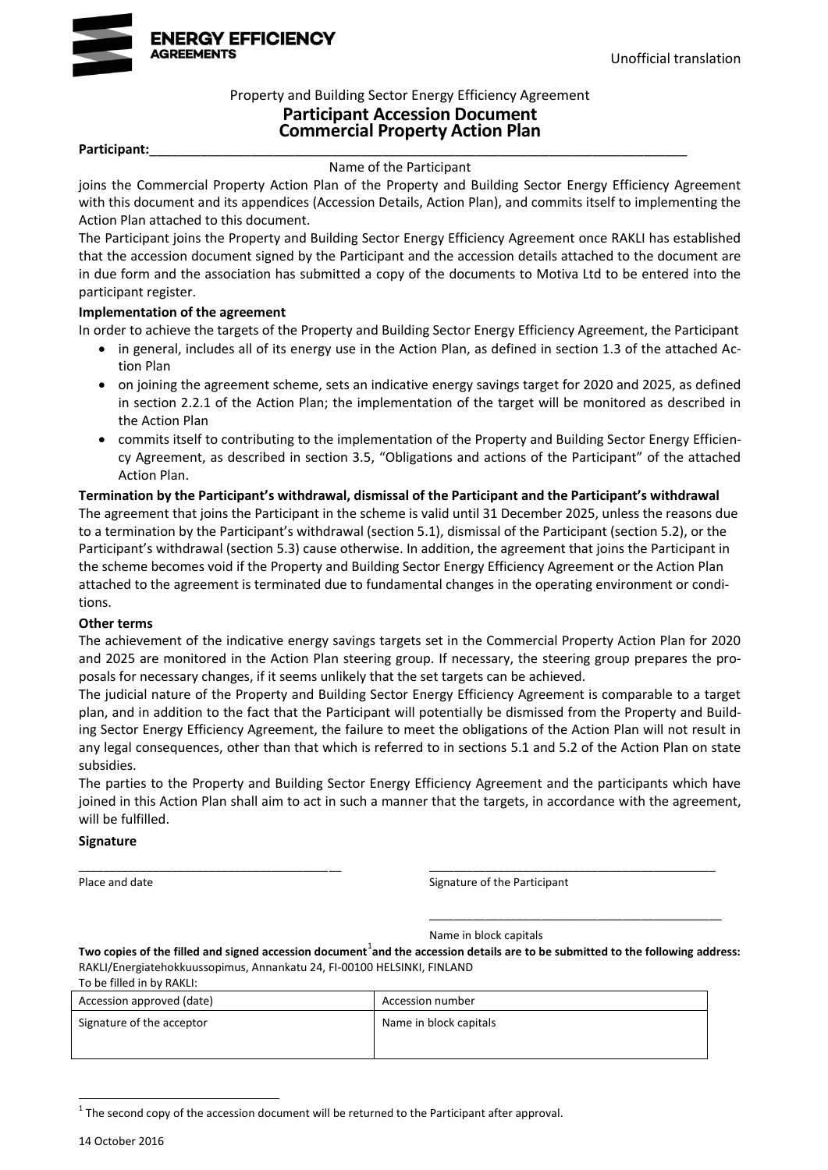

### Property and Building Sector Energy Efficiency Agreement **Participant Accession Document Commercial Property Action Plan**

#### Participant:

Name of the Participant

joins the Commercial Property Action Plan of the Property and Building Sector Energy Efficiency Agreement with this document and its appendices (Accession Details, Action Plan), and commits itself to implementing the Action Plan attached to this document.

The Participant joins the Property and Building Sector Energy Efficiency Agreement once RAKLI has established that the accession document signed by the Participant and the accession details attached to the document are in due form and the association has submitted a copy of the documents to Motiva Ltd to be entered into the participant register.

#### **Implementation of the agreement**

In order to achieve the targets of the Property and Building Sector Energy Efficiency Agreement, the Participant

- in general, includes all of its energy use in the Action Plan, as defined in section 1.3 of the attached Action Plan
- on joining the agreement scheme, sets an indicative energy savings target for 2020 and 2025, as defined in section 2.2.1 of the Action Plan; the implementation of the target will be monitored as described in the Action Plan
- commits itself to contributing to the implementation of the Property and Building Sector Energy Efficiency Agreement, as described in section 3.5, "Obligations and actions of the Participant" of the attached Action Plan.

### **Termination by the Participant's withdrawal, dismissal of the Participant and the Participant's withdrawal**  The agreement that joins the Participant in the scheme is valid until 31 December 2025, unless the reasons due to a termination by the Participant's withdrawal (section 5.1), dismissal of the Participant (section 5.2), or the Participant's withdrawal (section 5.3) cause otherwise. In addition, the agreement that joins the Participant in the scheme becomes void if the Property and Building Sector Energy Efficiency Agreement or the Action Plan attached to the agreement is terminated due to fundamental changes in the operating environment or conditions.

### **Other terms**

The achievement of the indicative energy savings targets set in the Commercial Property Action Plan for 2020 and 2025 are monitored in the Action Plan steering group. If necessary, the steering group prepares the proposals for necessary changes, if it seems unlikely that the set targets can be achieved.

The judicial nature of the Property and Building Sector Energy Efficiency Agreement is comparable to a target plan, and in addition to the fact that the Participant will potentially be dismissed from the Property and Building Sector Energy Efficiency Agreement, the failure to meet the obligations of the Action Plan will not result in any legal consequences, other than that which is referred to in sections 5.1 and 5.2 of the Action Plan on state subsidies.

The parties to the Property and Building Sector Energy Efficiency Agreement and the participants which have joined in this Action Plan shall aim to act in such a manner that the targets, in accordance with the agreement, will be fulfilled.

\_\_\_\_\_\_\_\_\_\_\_\_\_\_\_\_\_\_\_\_\_\_\_\_\_\_\_\_\_\_\_\_\_\_\_\_\_\_\_\_\_\_ \_\_\_\_\_\_\_\_\_\_\_\_\_\_\_\_\_\_\_\_\_\_\_\_\_\_\_\_\_\_\_\_\_\_\_\_\_\_\_\_\_\_\_\_\_\_

#### **Signature**

Place and date Signature of the Participant

\_\_\_\_\_\_\_\_\_\_\_\_\_\_\_\_\_\_\_\_\_\_\_\_\_\_\_\_\_\_\_\_\_\_\_\_\_\_\_\_\_\_\_\_\_\_\_

Name in block capitals

Two copies of the filled and signed accession document<sup>1</sup>and the accession details are to be submitted to the following address: RAKLI/Energiatehokkuussopimus, Annankatu 24, FI-00100 HELSINKI, FINLAND

To be filled in by RAKLI:

| Accession approved (date) | Accession number       |  |  |
|---------------------------|------------------------|--|--|
| Signature of the acceptor | Name in block capitals |  |  |
|                           |                        |  |  |

 $1$  The second copy of the accession document will be returned to the Participant after approval.

-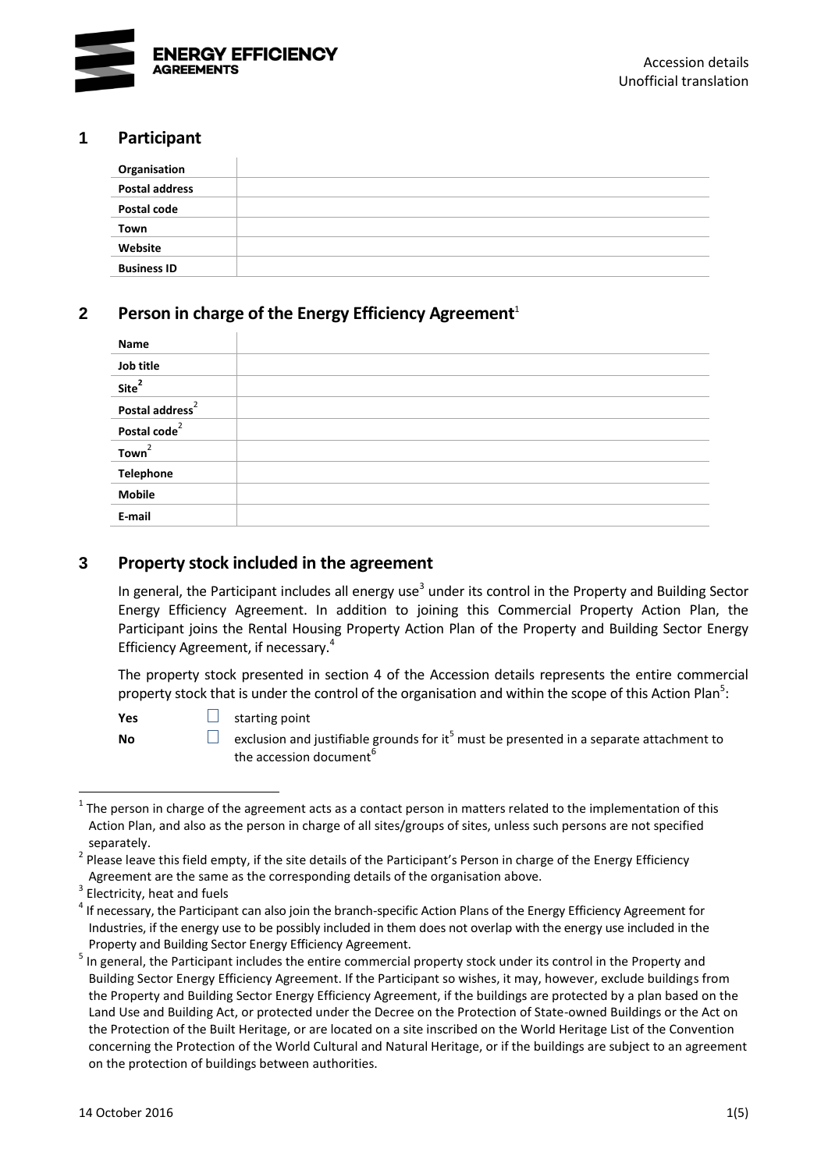

# **1 Participant**

| Organisation          |  |
|-----------------------|--|
| <b>Postal address</b> |  |
| Postal code           |  |
| Town                  |  |
| Website               |  |
| <b>Business ID</b>    |  |

# **2 Person in charge of the Energy Efficiency Agreement**<sup>1</sup>

<span id="page-2-0"></span>

| Name                        |  |
|-----------------------------|--|
| Job title                   |  |
| Site <sup>2</sup>           |  |
| Postal address <sup>2</sup> |  |
| Postal code <sup>2</sup>    |  |
| Town <sup>2</sup>           |  |
| <b>Telephone</b>            |  |
| <b>Mobile</b>               |  |
| E-mail                      |  |

# **3 Property stock included in the agreement**

In general, the Participant includes all energy use<sup>3</sup> under its control in the Property and Building Sector Energy Efficiency Agreement. In addition to joining this Commercial Property Action Plan, the Participant joins the Rental Housing Property Action Plan of the Property and Building Sector Energy Efficiency Agreement, if necessary.<sup>4</sup>

The property stock presented in section 4 of the Accession details represents the entire commercial property stock that is under the control of the organisation and within the scope of this Action Plan<sup>5</sup>:

<span id="page-2-1"></span>

**Yes** □ starting point

**No exclusion and jus[t](#page-2-1)ifiable grounds for it<sup>5</sup> must be presented in a separate attachment to <b>No** the accession document<sup>6</sup>

<sup>1</sup> 1 The person in charge of the agreement acts as a contact person in matters related to the implementation of this Action Plan, and also as the person in charge of all sites/groups of sites, unless such persons are not specified separately.

<sup>&</sup>lt;sup>2</sup> Please leave this field empty, if the site details of the Participant's Person in charge of the Energy Efficiency Agreement are the same as the corresponding details of the organisation above.

 $3$  Electricity, heat and fuels

<sup>&</sup>lt;sup>4</sup> If necessary, the Participant can also join the branch-specific Action Plans of the Energy Efficiency Agreement for Industries, if the energy use to be possibly included in them does not overlap with the energy use included in the Property and Building Sector Energy Efficiency Agreement.

<sup>&</sup>lt;sup>5</sup> In general, the Participant includes the entire commercial property stock under its control in the Property and Building Sector Energy Efficiency Agreement. If the Participant so wishes, it may, however, exclude buildings from the Property and Building Sector Energy Efficiency Agreement, if the buildings are protected by a plan based on the Land Use and Building Act, or protected under the Decree on the Protection of State-owned Buildings or the Act on the Protection of the Built Heritage, or are located on a site inscribed on the World Heritage List of the Convention concerning the Protection of the World Cultural and Natural Heritage, or if the buildings are subject to an agreement on the protection of buildings between authorities.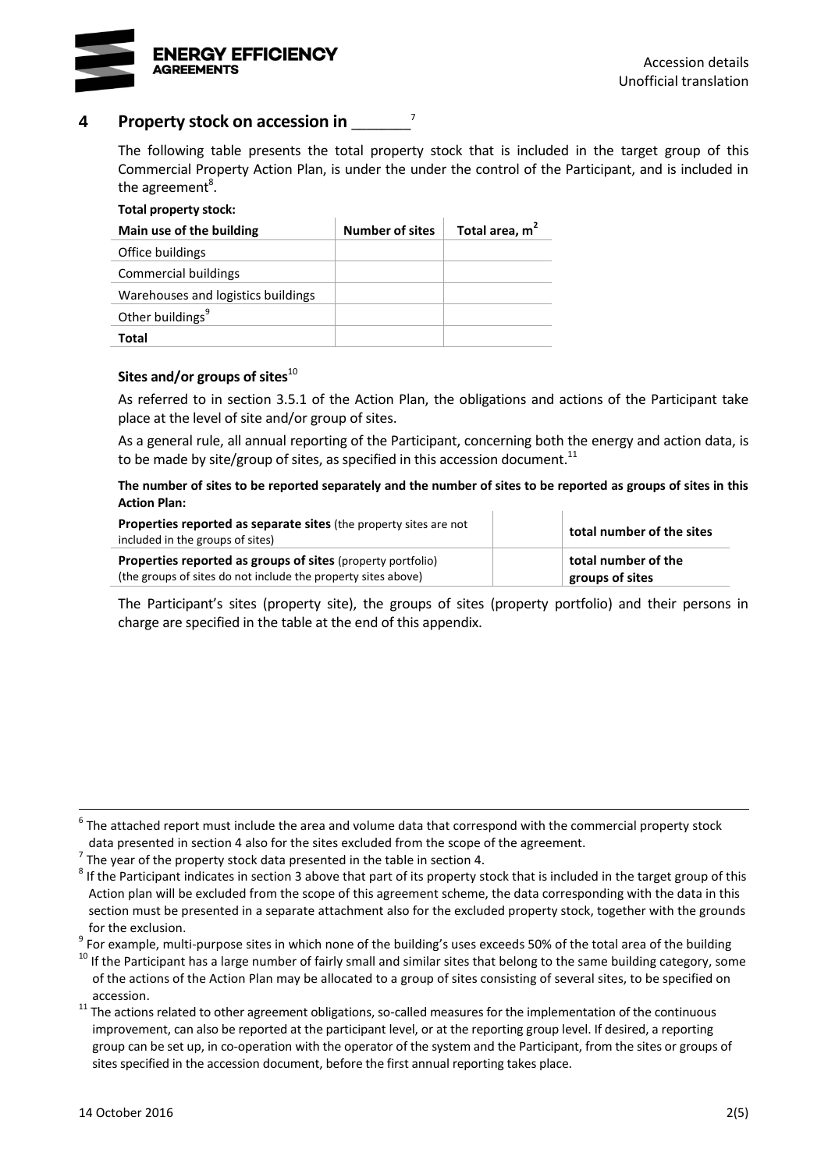

# **4 Property stock on accession in** \_\_\_\_\_\_\_\_ 7

The following table presents the total property stock that is included in the target group of this Commercial Property Action Plan, is under the under the control of the Participant, and is included in the agreement<sup>8</sup>.

# **Total property stock: Main use of the building Number of sites Total area, m<sup>2</sup>** Office buildings Commercial buildings Warehouses and logistics buildings Other buildings<sup>9</sup> **Total**

#### Sites and/or groups of sites<sup>10</sup>

As referred to in section 3.5.1 of the Action Plan, the obligations and actions of the Participant take place at the level of site and/or group of sites.

As a general rule, all annual reporting of the Participant, concerning both the energy and action data, is to be made by site/group of sites, as specified in this accession document.<sup>11</sup>

**The number of sites to be reported separately and the number of sites to be reported as groups of sites in this Action Plan:**

| <b>Properties reported as separate sites</b> (the property sites are not<br>included in the groups of sites)                 |  | total number of the sites              |  |
|------------------------------------------------------------------------------------------------------------------------------|--|----------------------------------------|--|
| Properties reported as groups of sites (property portfolio)<br>(the groups of sites do not include the property sites above) |  | total number of the<br>groups of sites |  |

The Participant's sites (property site), the groups of sites (property portfolio) and their persons in charge are specified in the table at the end of this appendix.

<sup>9</sup> For example, multi-purpose sites in which none of the building's uses exceeds 50% of the total area of the building

<sup>6</sup> The attached report must include the area and volume data that correspond with the commercial property stock data presented in section 4 also for the sites excluded from the scope of the agreement.

 $^7$  The year of the property stock data presented in the table in section 4.

 $^8$  If the Participant indicates in section 3 above that part of its property stock that is included in the target group of this Action plan will be excluded from the scope of this agreement scheme, the data corresponding with the data in this section must be presented in a separate attachment also for the excluded property stock, together with the grounds for the exclusion.

 $10$  If the Participant has a large number of fairly small and similar sites that belong to the same building category, some of the actions of the Action Plan may be allocated to a group of sites consisting of several sites, to be specified on accession.

<sup>&</sup>lt;sup>11</sup> The actions related to other agreement obligations, so-called measures for the implementation of the continuous improvement, can also be reported at the participant level, or at the reporting group level. If desired, a reporting group can be set up, in co-operation with the operator of the system and the Participant, from the sites or groups of sites specified in the accession document, before the first annual reporting takes place.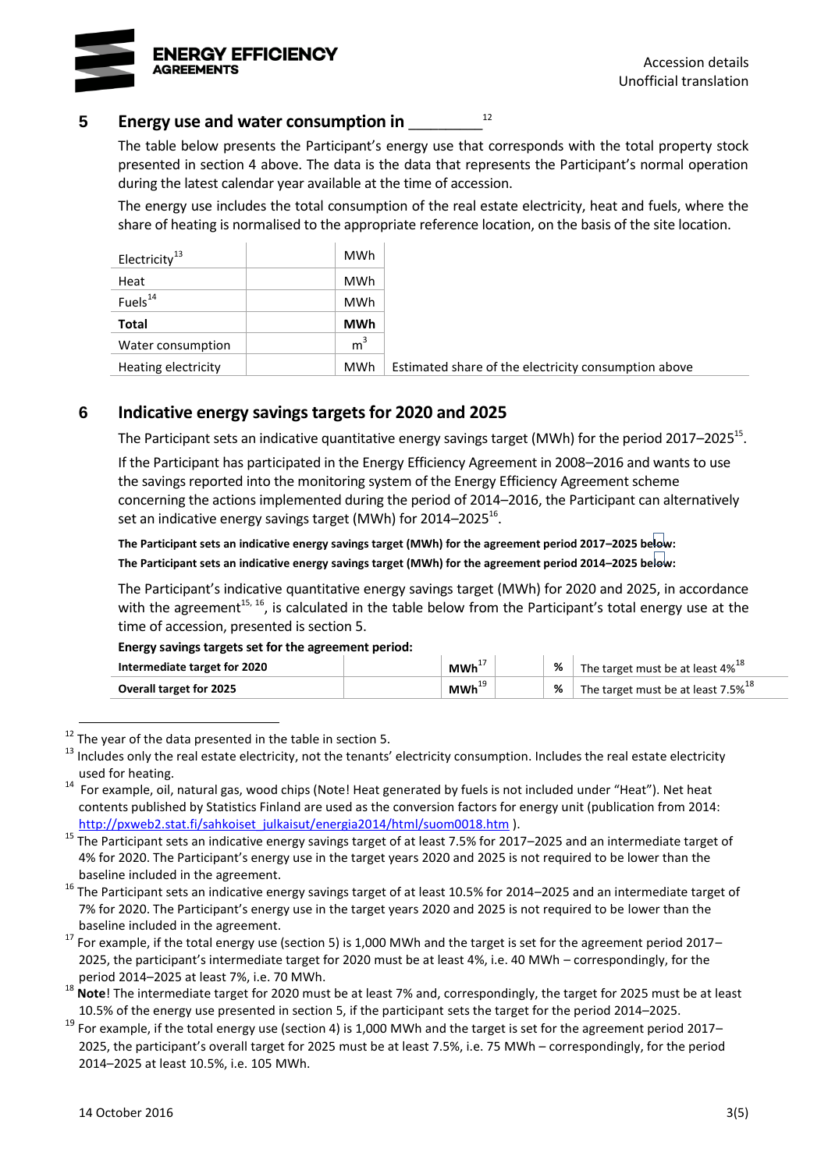

### **5 Energy use and water consumption in** \_\_\_\_\_\_\_\_\_\_

The table below presents the Participant's energy use that corresponds with the total property stock presented in section 4 above. The data is the data that represents the Participant's normal operation during the latest calendar year available at the time of accession.

<span id="page-4-2"></span><span id="page-4-0"></span>12

The energy use includes the total consumption of the real estate electricity, heat and fuels, where the share of heating is normalised to the appropriate reference location, on the basis of the site location.

| Electricity <sup>13</sup> | <b>MWh</b>     |                                                      |
|---------------------------|----------------|------------------------------------------------------|
| Heat                      | <b>MWh</b>     |                                                      |
| Fuels <sup>14</sup>       | <b>MWh</b>     |                                                      |
| <b>Total</b>              | <b>MWh</b>     |                                                      |
| Water consumption         | m <sup>3</sup> |                                                      |
| Heating electricity       | <b>MWh</b>     | Estimated share of the electricity consumption above |

# **6 Indicative energy savings targets for 2020 and 2025**

The Participant sets an indicative quantitative energy savings target (MWh) for the period 2017–2025<sup>15</sup>.

If the Participant has participated in the Energy Efficiency Agreement in 2008–2016 and wants to use the savings reported into the monitoring system of the Energy Efficiency Agreement scheme concerning the actions implemented during the period of 2014–2016, the Participant can alternatively set an indicative energy savings target (MWh) for 2014–2025 $^{16}$ .

<span id="page-4-1"></span>**The Participant sets an indicative energy savings target (MWh) for the agreement period 2017–2025 below: The Participant sets an indicative energy savings target (MWh) for the agreement period 2014–2025 below:**

The Participant's indicative quantitative energy savings target (MWh) for 2020 and 2025, in accordance with the agreement<sup>[15,](#page-4-0) [16](#page-4-1)</sup>, is calculated in the table below from the Participant's total energy use at the time of accession, presented is section 5.

**Energy savings targets set for the agreement period:** 

| Intermediate target for 2020   | MWh <sup>+</sup> | % | The target must be at least 4% <sup>18</sup>   |
|--------------------------------|------------------|---|------------------------------------------------|
| <b>Overall target for 2025</b> | MWh <sup>⊹</sup> | % | The target must be at least 7.5% <sup>18</sup> |

 $12$  The year of the data presented in the table in section 5.

<sup>13</sup> Includes only the real estate electricity, not the tenants' electricity consumption. Includes the real estate electricity used for heating.

<sup>&</sup>lt;sup>14</sup> For example, oil, natural gas, wood chips (Note! Heat generated by fuels is not included under "Heat"). Net heat contents published by Statistics Finland are used as the conversion factors for energy unit (publication from 2014: [http://pxweb2.stat.fi/sahkoiset\\_julkaisut/energia2014/html/suom0018.htm](http://pxweb2.stat.fi/sahkoiset_julkaisut/energia2014/html/suom0018.htm) ).

 $15$  The Participant sets an indicative energy savings target of at least 7.5% for 2017–2025 and an intermediate target of 4% for 2020. The Participant's energy use in the target years 2020 and 2025 is not required to be lower than the baseline included in the agreement.

 $16$  The Participant sets an indicative energy savings target of at least 10.5% for 2014–2025 and an intermediate target of 7% for 2020. The Participant's energy use in the target years 2020 and 2025 is not required to be lower than the baseline included in the agreement.

 $17$  For example, if the total energy use (section 5) is 1,000 MWh and the target is set for the agreement period 2017– 2025, the participant's intermediate target for 2020 must be at least 4%, i.e. 40 MWh – correspondingly, for the period 2014–2025 at least 7%, i.e. 70 MWh.

<sup>&</sup>lt;sup>18</sup> Note! The intermediate target for 2020 must be at least 7% and, correspondingly, the target for 2025 must be at least 10.5% of the energy use presented in section 5, if the participant sets the target for the period 2014–2025.

 $19$  For example, if the total energy use (section 4) is 1,000 MWh and the target is set for the agreement period 2017– 2025, the participant's overall target for 2025 must be at least 7.5%, i.e. 75 MWh – correspondingly, for the period 2014–2025 at least 10.5%, i.e. 105 MWh.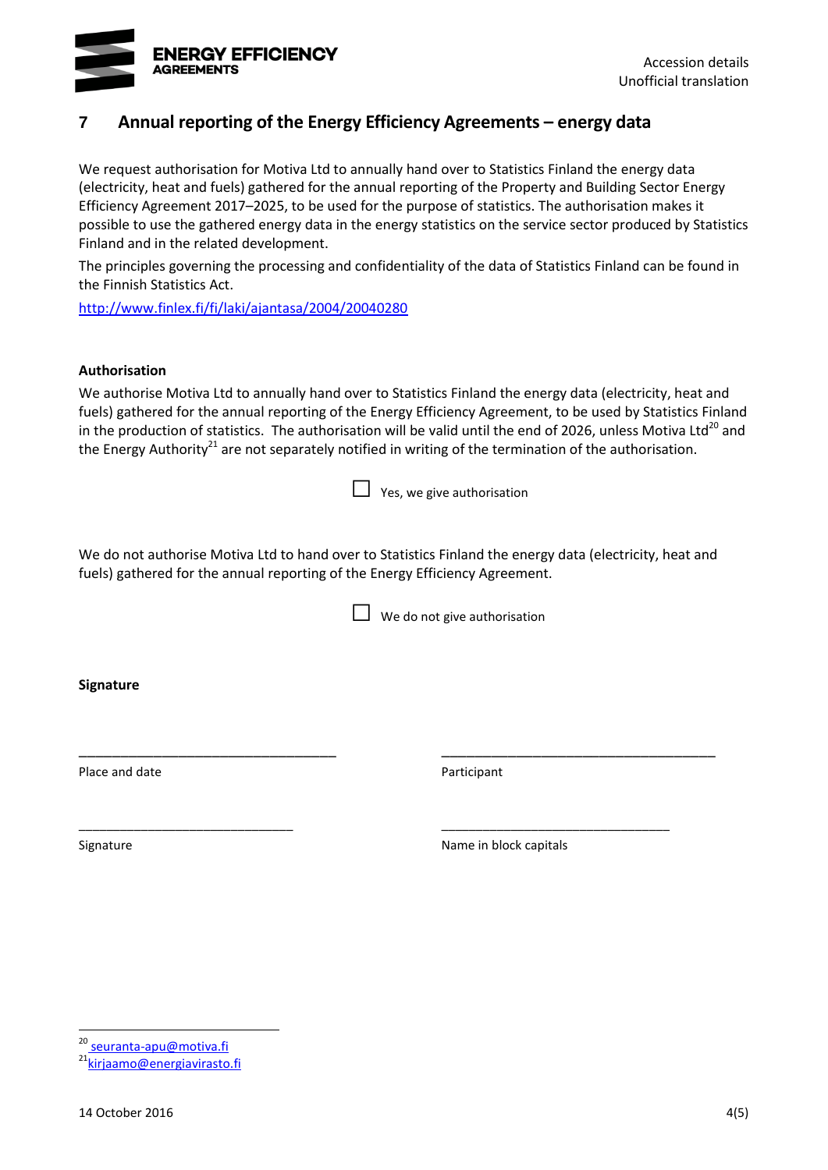

# **7 Annual reporting of the Energy Efficiency Agreements – energy data**

We request authorisation for Motiva Ltd to annually hand over to Statistics Finland the energy data (electricity, heat and fuels) gathered for the annual reporting of the Property and Building Sector Energy Efficiency Agreement 2017–2025, to be used for the purpose of statistics. The authorisation makes it possible to use the gathered energy data in the energy statistics on the service sector produced by Statistics Finland and in the related development.

The principles governing the processing and confidentiality of the data of Statistics Finland can be found in the Finnish Statistics Act.

<http://www.finlex.fi/fi/laki/ajantasa/2004/20040280>

#### **Authorisation**

We authorise Motiva Ltd to annually hand over to Statistics Finland the energy data (electricity, heat and fuels) gathered for the annual reporting of the Energy Efficiency Agreement, to be used by Statistics Finland in the production of statistics. The authorisation will be valid until the end of 2026, unless Motiva Ltd<sup>20</sup> and the Energy Authority<sup>21</sup> are not separately notified in writing of the termination of the authorisation.

| $\Box$ Yes, we give authorisation |
|-----------------------------------|
|                                   |
|                                   |

We do not authorise Motiva Ltd to hand over to Statistics Finland the energy data (electricity, heat and fuels) gathered for the annual reporting of the Energy Efficiency Agreement.

\_\_\_\_\_\_\_\_\_\_\_\_\_\_\_\_\_\_\_\_\_\_\_\_\_\_\_\_\_\_\_ \_\_\_\_\_\_\_\_\_\_\_\_\_\_\_\_\_\_\_\_\_\_\_\_\_\_\_\_\_\_\_\_\_

\_\_\_\_\_\_\_\_\_\_\_\_\_\_\_\_\_\_\_\_\_\_\_\_\_\_\_\_\_\_\_ \_\_\_\_\_\_\_\_\_\_\_\_\_\_\_\_\_\_\_\_\_\_\_\_\_\_\_\_\_\_\_\_\_

 $\Box$  We do not give authorisation

**Signature**

Place and date **Place and date Participant** 

1

Signature **Name in block capitals** Signature **Name in block capitals** 

<sup>20</sup> seuranta-apu@motiva.fi

<sup>&</sup>lt;sup>21</sup>[kirjaamo@energiavirasto.fi](mailto:kirjaamo@energiavirasto.fi)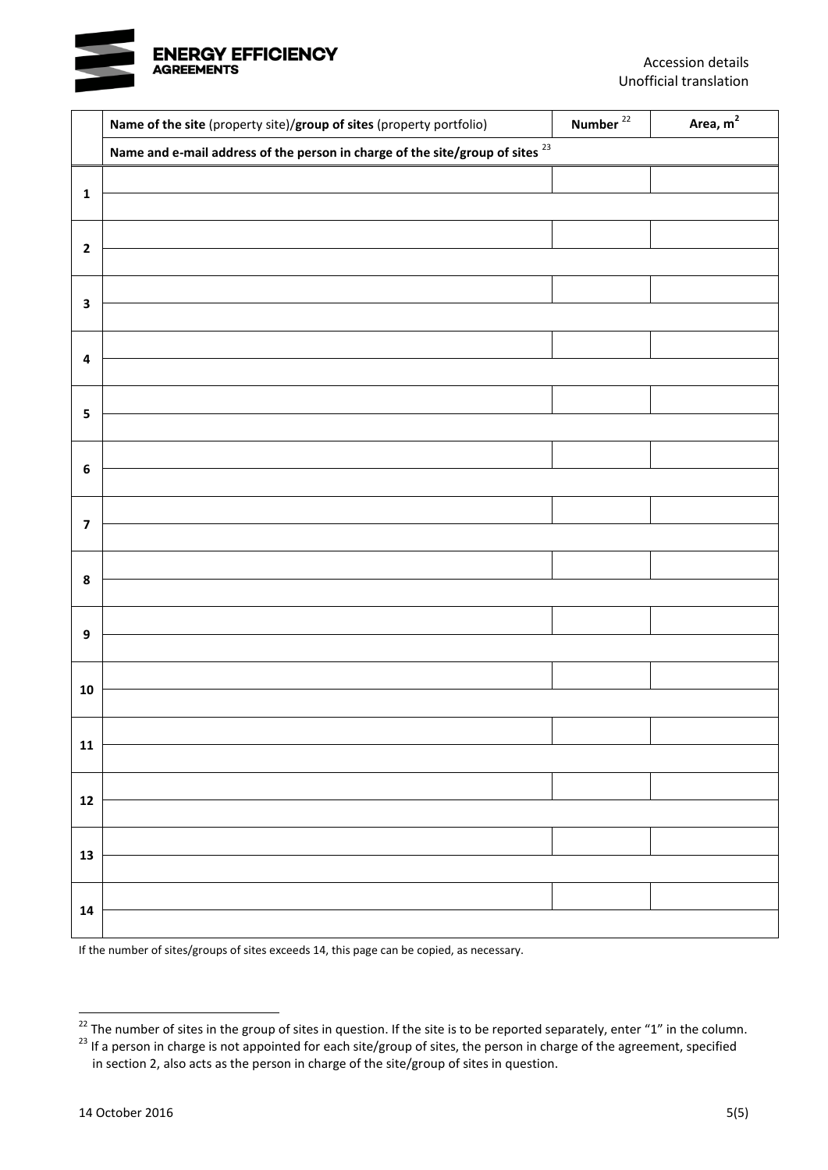

|                         | Name of the site (property site)/group of sites (property portfolio)               | Number $^{22}$ | Area, $m2$ |
|-------------------------|------------------------------------------------------------------------------------|----------------|------------|
|                         | Name and e-mail address of the person in charge of the site/group of sites $^{23}$ |                |            |
| $\mathbf 1$             |                                                                                    |                |            |
|                         |                                                                                    |                |            |
| $\overline{\mathbf{c}}$ |                                                                                    |                |            |
|                         |                                                                                    |                |            |
| $\mathbf 3$             |                                                                                    |                |            |
|                         |                                                                                    |                |            |
| $\pmb{4}$               |                                                                                    |                |            |
|                         |                                                                                    |                |            |
| $\overline{\mathbf{5}}$ |                                                                                    |                |            |
|                         |                                                                                    |                |            |
| $\boldsymbol{6}$        |                                                                                    |                |            |
|                         |                                                                                    |                |            |
| $\overline{\mathbf{z}}$ |                                                                                    |                |            |
|                         |                                                                                    |                |            |
| $\pmb{8}$               |                                                                                    |                |            |
|                         |                                                                                    |                |            |
| $\boldsymbol{9}$        |                                                                                    |                |            |
|                         |                                                                                    |                |            |
| ${\bf 10}$              |                                                                                    |                |            |
|                         |                                                                                    |                |            |
| 11                      |                                                                                    |                |            |
|                         |                                                                                    |                |            |
| ${\bf 12}$              |                                                                                    |                |            |
|                         |                                                                                    |                |            |
| 13                      |                                                                                    |                |            |
|                         |                                                                                    |                |            |
| ${\bf 14}$              |                                                                                    |                |            |
|                         |                                                                                    |                |            |

If the number of sites/groups of sites exceeds 14, this page can be copied, as necessary.

 $^{22}$  The number of sites in the group of sites in question. If the site is to be reported separately, enter "1" in the column.

<sup>23</sup> If a person in charge is not appointed for each site/group of sites, the person in charge of the agreement, specified in section 2, also acts as the person in charge of the site/group of sites in question.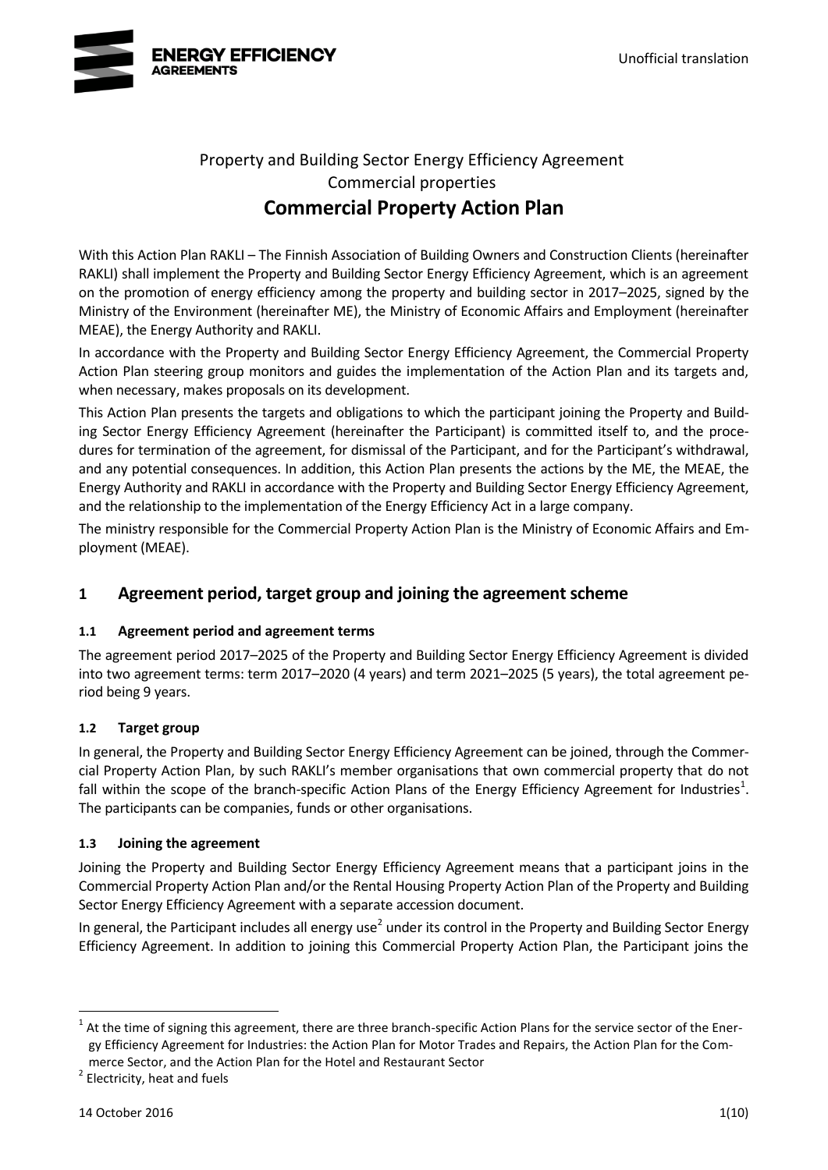

# Property and Building Sector Energy Efficiency Agreement Commercial properties **Commercial Property Action Plan**

With this Action Plan RAKLI – The Finnish Association of Building Owners and Construction Clients (hereinafter RAKLI) shall implement the Property and Building Sector Energy Efficiency Agreement, which is an agreement on the promotion of energy efficiency among the property and building sector in 2017–2025, signed by the Ministry of the Environment (hereinafter ME), the Ministry of Economic Affairs and Employment (hereinafter MEAE), the Energy Authority and RAKLI.

In accordance with the Property and Building Sector Energy Efficiency Agreement, the Commercial Property Action Plan steering group monitors and guides the implementation of the Action Plan and its targets and, when necessary, makes proposals on its development.

This Action Plan presents the targets and obligations to which the participant joining the Property and Building Sector Energy Efficiency Agreement (hereinafter the Participant) is committed itself to, and the procedures for termination of the agreement, for dismissal of the Participant, and for the Participant's withdrawal, and any potential consequences. In addition, this Action Plan presents the actions by the ME, the MEAE, the Energy Authority and RAKLI in accordance with the Property and Building Sector Energy Efficiency Agreement, and the relationship to the implementation of the Energy Efficiency Act in a large company.

The ministry responsible for the Commercial Property Action Plan is the Ministry of Economic Affairs and Employment (MEAE).

# **1 Agreement period, target group and joining the agreement scheme**

## **1.1 Agreement period and agreement terms**

The agreement period 2017–2025 of the Property and Building Sector Energy Efficiency Agreement is divided into two agreement terms: term 2017–2020 (4 years) and term 2021–2025 (5 years), the total agreement period being 9 years.

## **1.2 Target group**

In general, the Property and Building Sector Energy Efficiency Agreement can be joined, through the Commercial Property Action Plan, by such RAKLI's member organisations that own commercial property that do not fall within the scope of the branch-specific Action Plans of the Energy Efficiency Agreement for Industries<sup>1</sup>. The participants can be companies, funds or other organisations.

### **1.3 Joining the agreement**

Joining the Property and Building Sector Energy Efficiency Agreement means that a participant joins in the Commercial Property Action Plan and/or the Rental Housing Property Action Plan of the Property and Building Sector Energy Efficiency Agreement with a separate accession document.

<span id="page-8-0"></span>In general, the Participant includes all energy use<sup>2</sup> under its control in the Property and Building Sector Energy Efficiency Agreement. In addition to joining this Commercial Property Action Plan, the Participant joins the

<sup>1</sup> At the time of signing this agreement, there are three branch-specific Action Plans for the service sector of the Energy Efficiency Agreement for Industries: the Action Plan for Motor Trades and Repairs, the Action Plan for the Commerce Sector, and the Action Plan for the Hotel and Restaurant Sector

<sup>&</sup>lt;sup>2</sup> Electricity, heat and fuels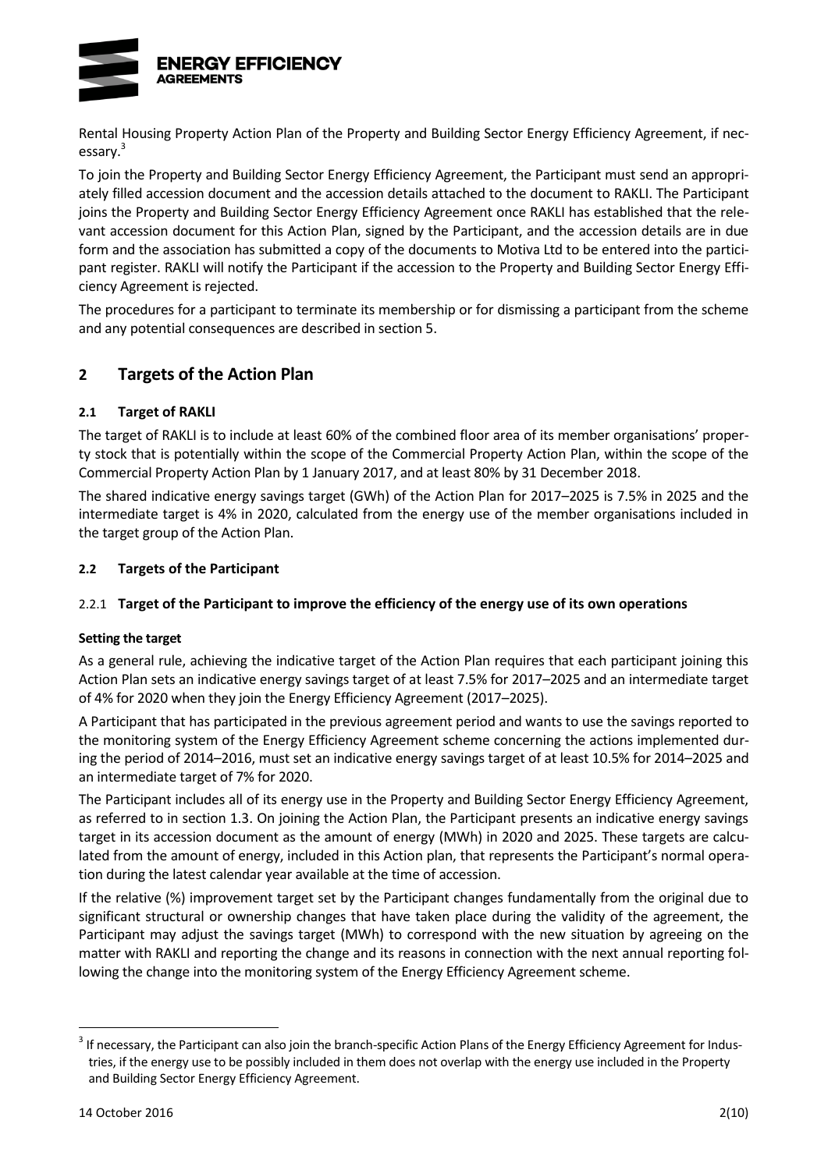

Rental Housing Property Action Plan of the Property and Building Sector Energy Efficiency Agreement, if necessary.<sup>3</sup>

To join the Property and Building Sector Energy Efficiency Agreement, the Participant must send an appropriately filled accession document and the accession details attached to the document to RAKLI. The Participant joins the Property and Building Sector Energy Efficiency Agreement once RAKLI has established that the relevant accession document for this Action Plan, signed by the Participant, and the accession details are in due form and the association has submitted a copy of the documents to Motiva Ltd to be entered into the participant register. RAKLI will notify the Participant if the accession to the Property and Building Sector Energy Efficiency Agreement is rejected.

The procedures for a participant to terminate its membership or for dismissing a participant from the scheme and any potential consequences are described in section 5.

# **2 Targets of the Action Plan**

## **2.1 Target of RAKLI**

The target of RAKLI is to include at least 60% of the combined floor area of its member organisations' property stock that is potentially within the scope of the Commercial Property Action Plan, within the scope of the Commercial Property Action Plan by 1 January 2017, and at least 80% by 31 December 2018.

The shared indicative energy savings target (GWh) of the Action Plan for 2017–2025 is 7.5% in 2025 and the intermediate target is 4% in 2020, calculated from the energy use of the member organisations included in the target group of the Action Plan.

## **2.2 Targets of the Participant**

## 2.2.1 **Target of the Participant to improve the efficiency of the energy use of its own operations**

### **Setting the target**

As a general rule, achieving the indicative target of the Action Plan requires that each participant joining this Action Plan sets an indicative energy savings target of at least 7.5% for 2017–2025 and an intermediate target of 4% for 2020 when they join the Energy Efficiency Agreement (2017–2025).

A Participant that has participated in the previous agreement period and wants to use the savings reported to the monitoring system of the Energy Efficiency Agreement scheme concerning the actions implemented during the period of 2014–2016, must set an indicative energy savings target of at least 10.5% for 2014–2025 and an intermediate target of 7% for 2020.

The Participant includes all of its energy use in the Property and Building Sector Energy Efficiency Agreement, as referred to in section 1.3. On joining the Action Plan, the Participant presents an indicative energy savings target in its accession document as the amount of energy (MWh) in 2020 and 2025. These targets are calculated from the amount of energy, included in this Action plan, that represents the Participant's normal operation during the latest calendar year available at the time of accession.

If the relative (%) improvement target set by the Participant changes fundamentally from the original due to significant structural or ownership changes that have taken place during the validity of the agreement, the Participant may adjust the savings target (MWh) to correspond with the new situation by agreeing on the matter with RAKLI and reporting the change and its reasons in connection with the next annual reporting following the change into the monitoring system of the Energy Efficiency Agreement scheme.

 $3$  If necessary, the Participant can also join the branch-specific Action Plans of the Energy Efficiency Agreement for Industries, if the energy use to be possibly included in them does not overlap with the energy use included in the Property and Building Sector Energy Efficiency Agreement.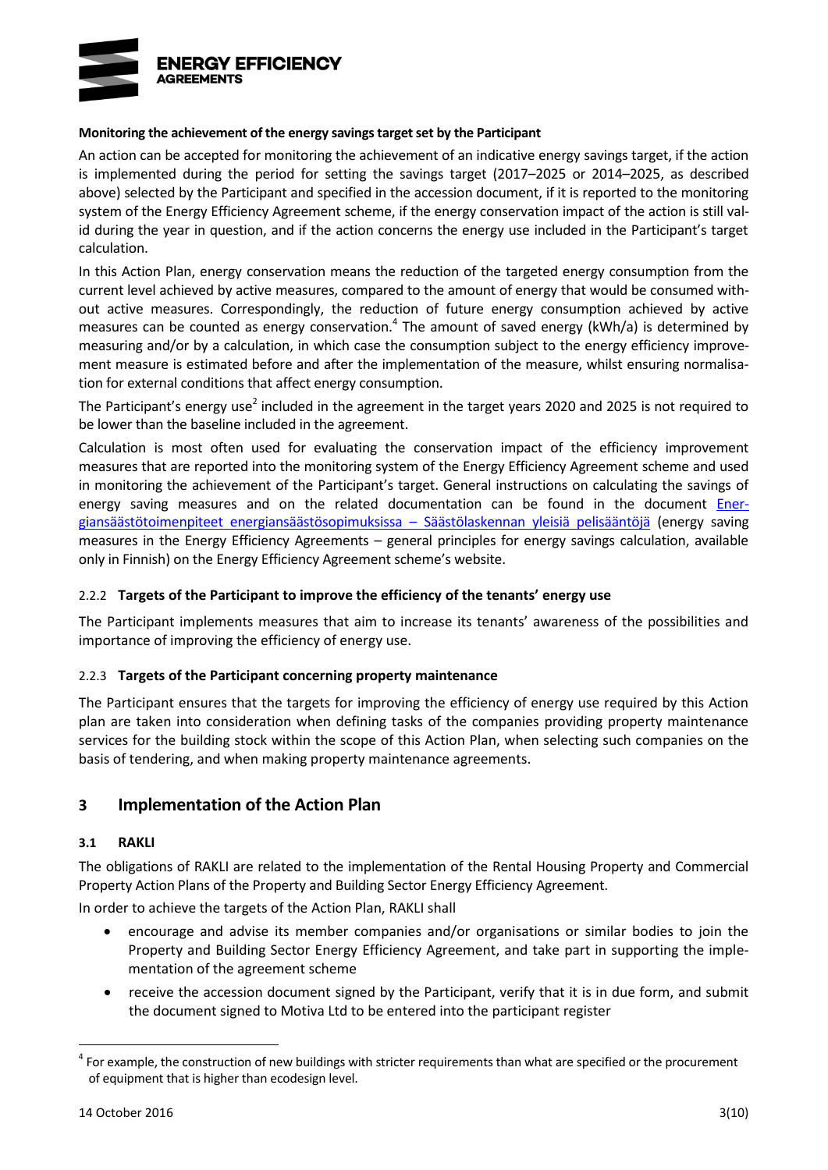

#### **Monitoring the achievement of the energy savings target set by the Participant**

An action can be accepted for monitoring the achievement of an indicative energy savings target, if the action is implemented during the period for setting the savings target (2017–2025 or 2014–2025, as described above) selected by the Participant and specified in the accession document, if it is reported to the monitoring system of the Energy Efficiency Agreement scheme, if the energy conservation impact of the action is still valid during the year in question, and if the action concerns the energy use included in the Participant's target calculation.

In this Action Plan, energy conservation means the reduction of the targeted energy consumption from the current level achieved by active measures, compared to the amount of energy that would be consumed without active measures. Correspondingly, the reduction of future energy consumption achieved by active measures can be counted as energy conservation.<sup>4</sup> The amount of saved energy (kWh/a) is determined by measuring and/or by a calculation, in which case the consumption subject to the energy efficiency improvement measure is estimated before and after the implementation of the measure, whilst ensuring normalisation for external conditions that affect energy consumption.

Th[e](#page-8-0) Participant's energy use<sup>2</sup> included in the agreement in the target years 2020 and 2025 is not required to be lower than the baseline included in the agreement.

Calculation is most often used for evaluating the conservation impact of the efficiency improvement measures that are reported into the monitoring system of the Energy Efficiency Agreement scheme and used in monitoring the achievement of the Participant's target. General instructions on calculating the savings of energy saving measures and on the related documentation can be found in the document [Ener](http://www.energiatehokkuussopimukset.fi/fi/tietoa_sopimuksista/sopimustoiminnan_kulmakivet/seuranta_ja_raportointi/saastojen_laskenta/)[giansäästötoimenpiteet energiansäästösopimuksissa](http://www.energiatehokkuussopimukset.fi/fi/tietoa_sopimuksista/sopimustoiminnan_kulmakivet/seuranta_ja_raportointi/saastojen_laskenta/) – Säästölaskennan yleisiä pelisääntöjä (energy saving measures in the Energy Efficiency Agreements – general principles for energy savings calculation, available only in Finnish) on the Energy Efficiency Agreement scheme's website.

### 2.2.2 **Targets of the Participant to improve the efficiency of the tenants' energy use**

The Participant implements measures that aim to increase its tenants' awareness of the possibilities and importance of improving the efficiency of energy use.

### 2.2.3 **Targets of the Participant concerning property maintenance**

The Participant ensures that the targets for improving the efficiency of energy use required by this Action plan are taken into consideration when defining tasks of the companies providing property maintenance services for the building stock within the scope of this Action Plan, when selecting such companies on the basis of tendering, and when making property maintenance agreements.

## **3 Implementation of the Action Plan**

#### **3.1 RAKLI**

The obligations of RAKLI are related to the implementation of the Rental Housing Property and Commercial Property Action Plans of the Property and Building Sector Energy Efficiency Agreement.

In order to achieve the targets of the Action Plan, RAKLI shall

- encourage and advise its member companies and/or organisations or similar bodies to join the Property and Building Sector Energy Efficiency Agreement, and take part in supporting the implementation of the agreement scheme
- receive the accession document signed by the Participant, verify that it is in due form, and submit the document signed to Motiva Ltd to be entered into the participant register

 $4$  For example, the construction of new buildings with stricter requirements than what are specified or the procurement of equipment that is higher than ecodesign level.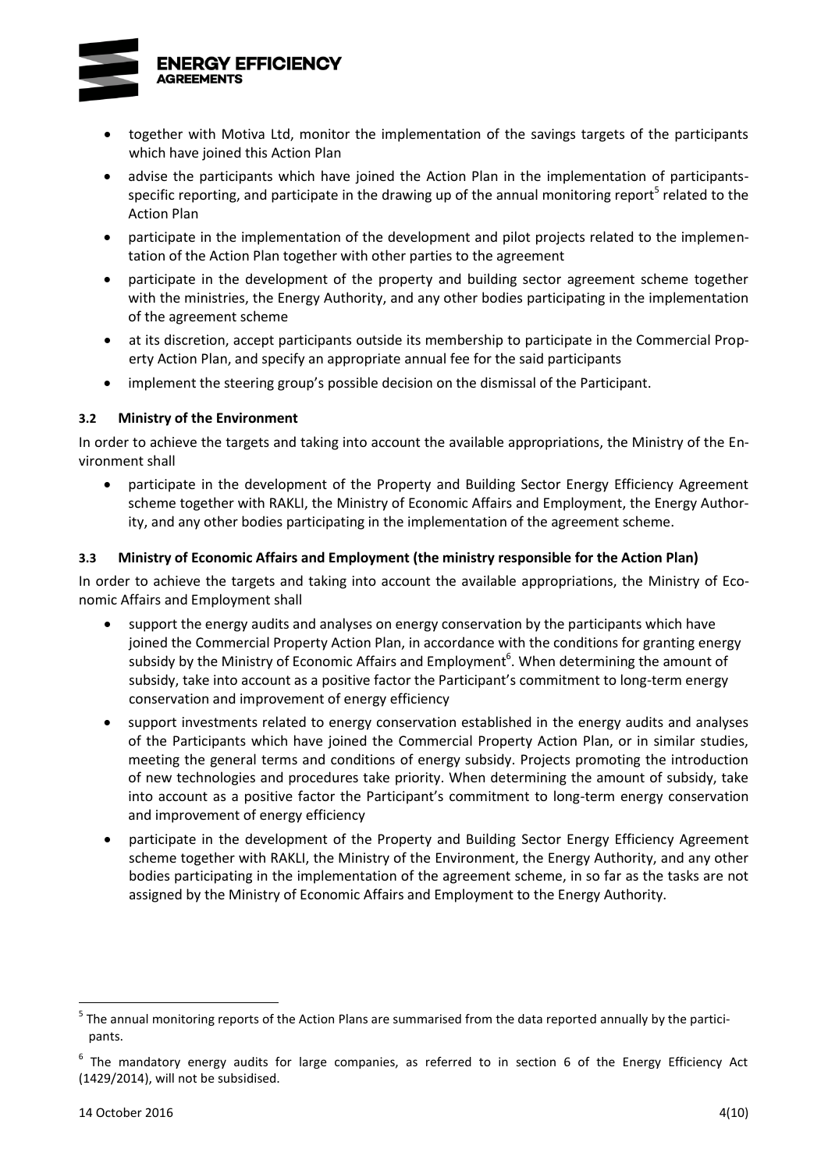

- together with Motiva Ltd, monitor the implementation of the savings targets of the participants which have joined this Action Plan
- advise the participants which have joined the Action Plan in the implementation of participantsspecific reporting, and participate in the drawing up of the annual monitoring report<sup>5</sup> related to the Action Plan
- <span id="page-11-0"></span> participate in the implementation of the development and pilot projects related to the implementation of the Action Plan together with other parties to the agreement
- participate in the development of the property and building sector agreement scheme together with the ministries, the Energy Authority, and any other bodies participating in the implementation of the agreement scheme
- at its discretion, accept participants outside its membership to participate in the Commercial Property Action Plan, and specify an appropriate annual fee for the said participants
- implement the steering group's possible decision on the dismissal of the Participant.

## **3.2 Ministry of the Environment**

In order to achieve the targets and taking into account the available appropriations, the Ministry of the Environment shall

 participate in the development of the Property and Building Sector Energy Efficiency Agreement scheme together with RAKLI, the Ministry of Economic Affairs and Employment, the Energy Authority, and any other bodies participating in the implementation of the agreement scheme.

## **3.3 Ministry of Economic Affairs and Employment (the ministry responsible for the Action Plan)**

In order to achieve the targets and taking into account the available appropriations, the Ministry of Economic Affairs and Employment shall

- support the energy audits and analyses on energy conservation by the participants which have joined the Commercial Property Action Plan, in accordance with the conditions for granting energy subsidy by the Ministry of Economic Affairs and Employment<sup>6</sup>. When determining the amount of subsidy, take into account as a positive factor the Participant's commitment to long-term energy conservation and improvement of energy efficiency
- support investments related to energy conservation established in the energy audits and analyses of the Participants which have joined the Commercial Property Action Plan, or in similar studies, meeting the general terms and conditions of energy subsidy. Projects promoting the introduction of new technologies and procedures take priority. When determining the amount of subsidy, take into account as a positive factor the Participant's commitment to long-term energy conservation and improvement of energy efficiency
- participate in the development of the Property and Building Sector Energy Efficiency Agreement scheme together with RAKLI, the Ministry of the Environment, the Energy Authority, and any other bodies participating in the implementation of the agreement scheme, in so far as the tasks are not assigned by the Ministry of Economic Affairs and Employment to the Energy Authority.

<sup>&</sup>lt;sup>5</sup> The annual monitoring reports of the Action Plans are summarised from the data reported annually by the participants.

 $^6$  The mandatory energy audits for large companies, as referred to in section 6 of the Energy Efficiency Act (1429/2014), will not be subsidised.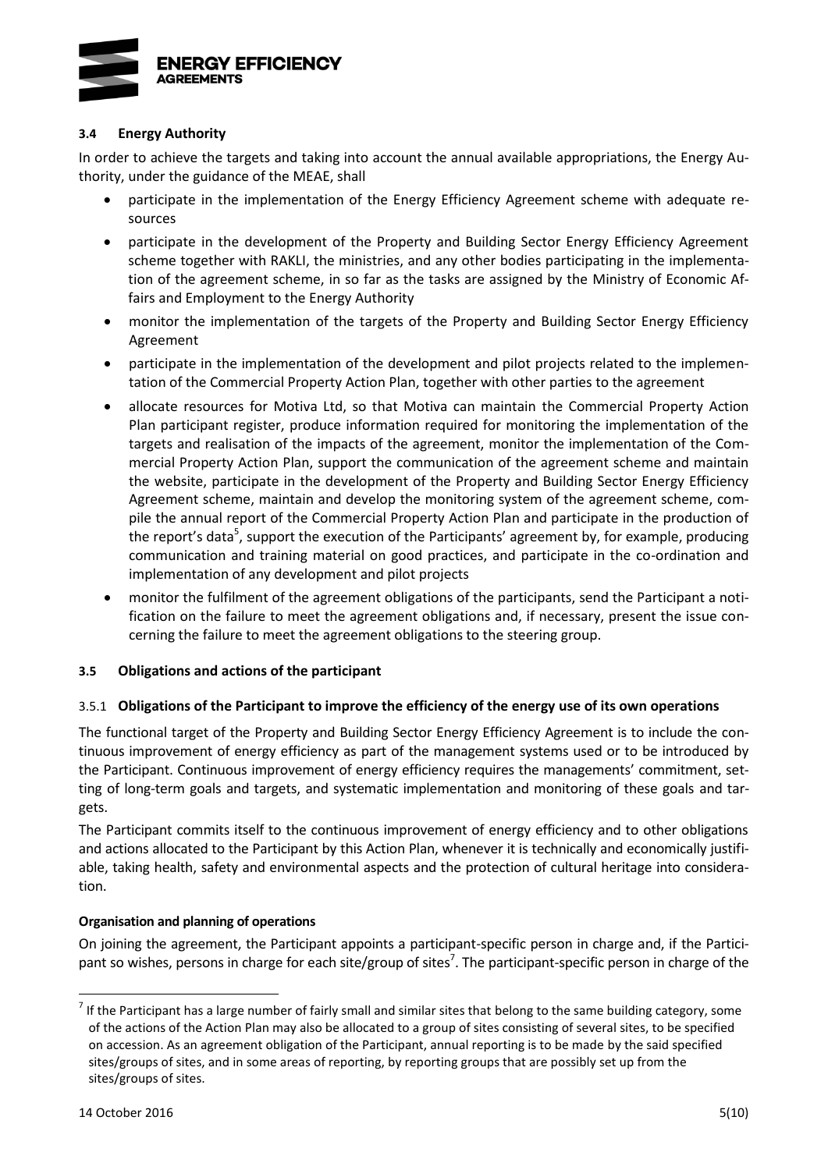

### **3.4 Energy Authority**

In order to achieve the targets and taking into account the annual available appropriations, the Energy Authority, under the guidance of the MEAE, shall

- participate in the implementation of the Energy Efficiency Agreement scheme with adequate resources
- participate in the development of the Property and Building Sector Energy Efficiency Agreement scheme together with RAKLI, the ministries, and any other bodies participating in the implementation of the agreement scheme, in so far as the tasks are assigned by the Ministry of Economic Affairs and Employment to the Energy Authority
- monitor the implementation of the targets of the Property and Building Sector Energy Efficiency Agreement
- participate in the implementation of the development and pilot projects related to the implementation of the Commercial Property Action Plan, together with other parties to the agreement
- allocate resources for Motiva Ltd, so that Motiva can maintain the Commercial Property Action Plan participant register, produce information required for monitoring the implementation of the targets and realisation of the impacts of the agreement, monitor the implementation of the Commercial Property Action Plan, support the communication of the agreement scheme and maintain the website, participate in the development of the Property and Building Sector Energy Efficiency Agreement scheme, maintain and develop the monitoring system of the agreement scheme, compile the annual report of the Commercial Property Action Plan and participate in the production of the report's d[a](#page-11-0)ta<sup>5</sup>, support the execution of the Participants' agreement by, for example, producing communication and training material on good practices, and participate in the co-ordination and implementation of any development and pilot projects
- monitor the fulfilment of the agreement obligations of the participants, send the Participant a notification on the failure to meet the agreement obligations and, if necessary, present the issue concerning the failure to meet the agreement obligations to the steering group.

### **3.5 Obligations and actions of the participant**

### 3.5.1 **Obligations of the Participant to improve the efficiency of the energy use of its own operations**

The functional target of the Property and Building Sector Energy Efficiency Agreement is to include the continuous improvement of energy efficiency as part of the management systems used or to be introduced by the Participant. Continuous improvement of energy efficiency requires the managements' commitment, setting of long-term goals and targets, and systematic implementation and monitoring of these goals and targets.

The Participant commits itself to the continuous improvement of energy efficiency and to other obligations and actions allocated to the Participant by this Action Plan, whenever it is technically and economically justifiable, taking health, safety and environmental aspects and the protection of cultural heritage into consideration.

## **Organisation and planning of operations**

<span id="page-12-0"></span>On joining the agreement, the Participant appoints a participant-specific person in charge and, if the Participant so wishes, persons in charge for each site/group of sites<sup>7</sup>. The participant-specific person in charge of the

 $^7$  If the Participant has a large number of fairly small and similar sites that belong to the same building category, some of the actions of the Action Plan may also be allocated to a group of sites consisting of several sites, to be specified on accession. As an agreement obligation of the Participant, annual reporting is to be made by the said specified sites/groups of sites, and in some areas of reporting, by reporting groups that are possibly set up from the sites/groups of sites.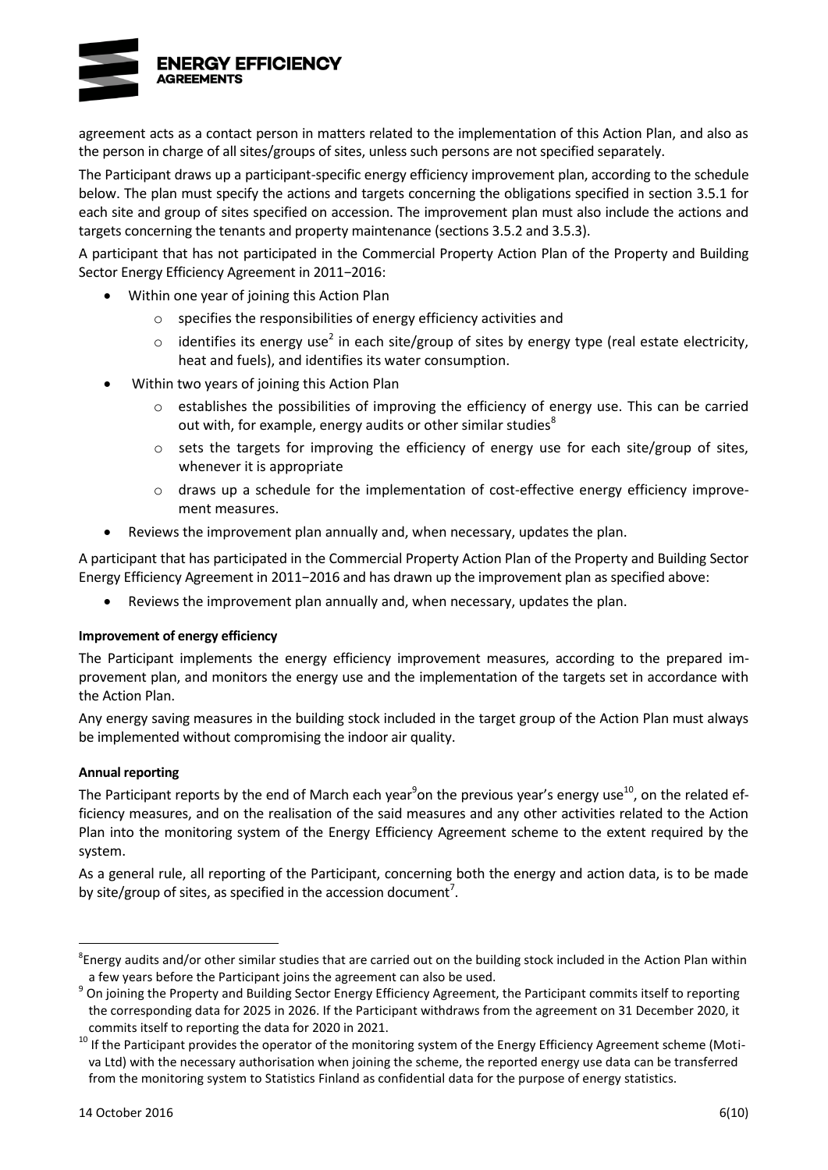

agreement acts as a contact person in matters related to the implementation of this Action Plan, and also as the person in charge of all sites/groups of sites, unless such persons are not specified separately.

The Participant draws up a participant-specific energy efficiency improvement plan, according to the schedule below. The plan must specify the actions and targets concerning the obligations specified in section 3.5.1 for each site and group of sites specified on accession. The improvement plan must also include the actions and targets concerning the tenants and property maintenance (sections 3.5.2 and 3.5.3).

A participant that has not participated in the Commercial Property Action Plan of the Property and Building Sector Energy Efficiency Agreement in 2011−2016:

- Within one year of joining this Action Plan
	- o specifies the responsibilities of energy efficiency activities and
	- $\circ$  id[e](#page-8-0)ntifies its energy use<sup>2</sup> in each site/group of sites by energy type (real estate electricity, heat and fuels), and identifies its water consumption.
- Within two years of joining this Action Plan
	- o establishes the possibilities of improving the efficiency of energy use. This can be carried out with, for example, energy audits or other similar studies<sup>8</sup>
	- $\circ$  sets the targets for improving the efficiency of energy use for each site/group of sites, whenever it is appropriate
	- o draws up a schedule for the implementation of cost-effective energy efficiency improvement measures.
- Reviews the improvement plan annually and, when necessary, updates the plan.

A participant that has participated in the Commercial Property Action Plan of the Property and Building Sector Energy Efficiency Agreement in 2011−2016 and has drawn up the improvement plan as specified above:

Reviews the improvement plan annually and, when necessary, updates the plan.

### **Improvement of energy efficiency**

The Participant implements the energy efficiency improvement measures, according to the prepared improvement plan, and monitors the energy use and the implementation of the targets set in accordance with the Action Plan.

Any energy saving measures in the building stock included in the target group of the Action Plan must always be implemented without compromising the indoor air quality.

### **Annual reporting**

<span id="page-13-0"></span>The Participant reports by the end of March each year<sup>9</sup>on the previous year's energy use<sup>10</sup>, on the related efficiency measures, and on the realisation of the said measures and any other activities related to the Action Plan into the monitoring system of the Energy Efficiency Agreement scheme to the extent required by the system.

As a general rule, all reporting of the Participant, concerning both the energy and action data, is to be made by si[t](#page-12-0)e/group of sites, as specified in the accession document<sup>7</sup>.

<sup>8</sup> Energy audits and/or other similar studies that are carried out on the building stock included in the Action Plan within a few years before the Participant joins the agreement can also be used.

<sup>&</sup>lt;sup>9</sup> On joining the Property and Building Sector Energy Efficiency Agreement, the Participant commits itself to reporting the corresponding data for 2025 in 2026. If the Participant withdraws from the agreement on 31 December 2020, it commits itself to reporting the data for 2020 in 2021.

<sup>&</sup>lt;sup>10</sup> If the Participant provides the operator of the monitoring system of the Energy Efficiency Agreement scheme (Motiva Ltd) with the necessary authorisation when joining the scheme, the reported energy use data can be transferred from the monitoring system to Statistics Finland as confidential data for the purpose of energy statistics.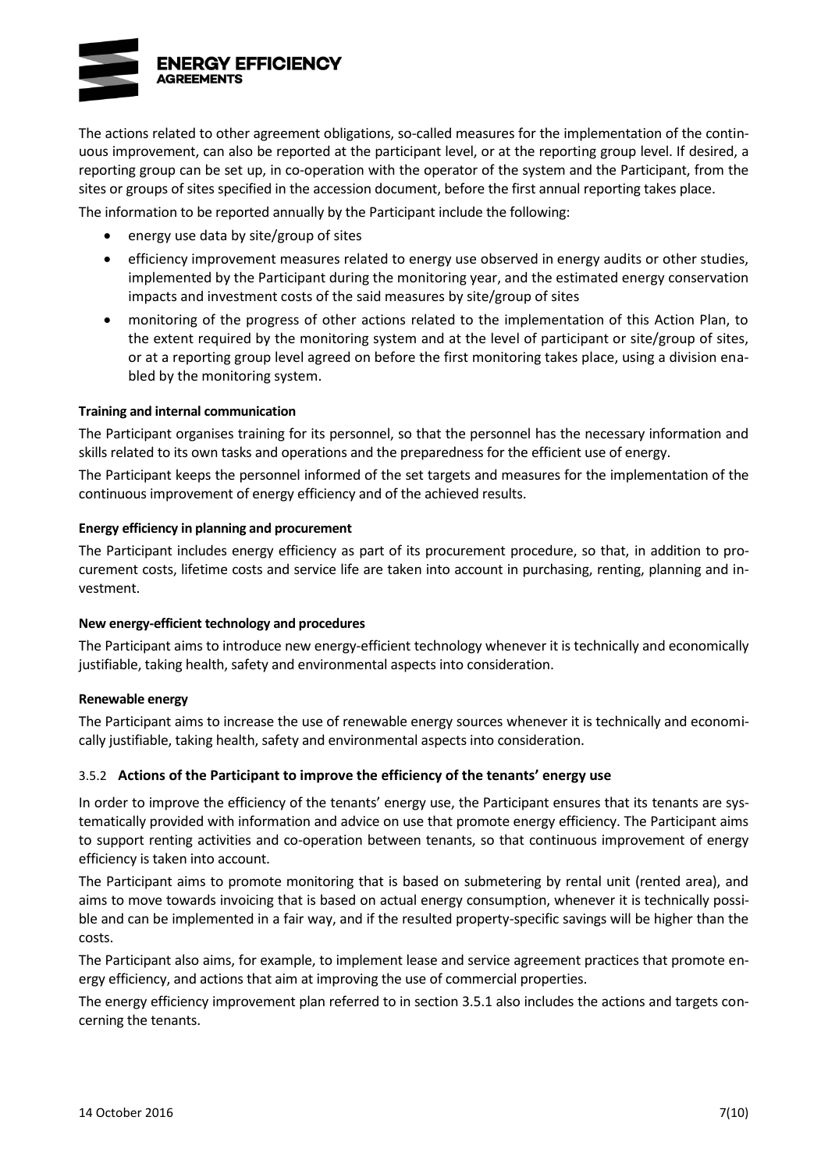

The actions related to other agreement obligations, so-called measures for the implementation of the continuous improvement, can also be reported at the participant level, or at the reporting group level. If desired, a reporting group can be set up, in co-operation with the operator of the system and the Participant, from the sites or groups of sites specified in the accession document, before the first annual reporting takes place.

The information to be reported annually by the Participant include the following:

- energy use data by site/group of sites
- efficiency improvement measures related to energy use observed in energy audits or other studies, implemented by the Participant during the monitoring year, and the estimated energy conservation impacts and investment costs of the said measures by site/group of sites
- monitoring of the progress of other actions related to the implementation of this Action Plan, to the extent required by the monitoring system and at the level of participant or site/group of sites, or at a reporting group level agreed on before the first monitoring takes place, using a division enabled by the monitoring system.

#### **Training and internal communication**

The Participant organises training for its personnel, so that the personnel has the necessary information and skills related to its own tasks and operations and the preparedness for the efficient use of energy.

The Participant keeps the personnel informed of the set targets and measures for the implementation of the continuous improvement of energy efficiency and of the achieved results.

#### **Energy efficiency in planning and procurement**

The Participant includes energy efficiency as part of its procurement procedure, so that, in addition to procurement costs, lifetime costs and service life are taken into account in purchasing, renting, planning and investment.

#### **New energy-efficient technology and procedures**

The Participant aims to introduce new energy-efficient technology whenever it is technically and economically justifiable, taking health, safety and environmental aspects into consideration.

#### **Renewable energy**

The Participant aims to increase the use of renewable energy sources whenever it is technically and economically justifiable, taking health, safety and environmental aspects into consideration.

### 3.5.2 **Actions of the Participant to improve the efficiency of the tenants' energy use**

In order to improve the efficiency of the tenants' energy use, the Participant ensures that its tenants are systematically provided with information and advice on use that promote energy efficiency. The Participant aims to support renting activities and co-operation between tenants, so that continuous improvement of energy efficiency is taken into account.

The Participant aims to promote monitoring that is based on submetering by rental unit (rented area), and aims to move towards invoicing that is based on actual energy consumption, whenever it is technically possible and can be implemented in a fair way, and if the resulted property-specific savings will be higher than the costs.

The Participant also aims, for example, to implement lease and service agreement practices that promote energy efficiency, and actions that aim at improving the use of commercial properties.

The energy efficiency improvement plan referred to in section 3.5.1 also includes the actions and targets concerning the tenants.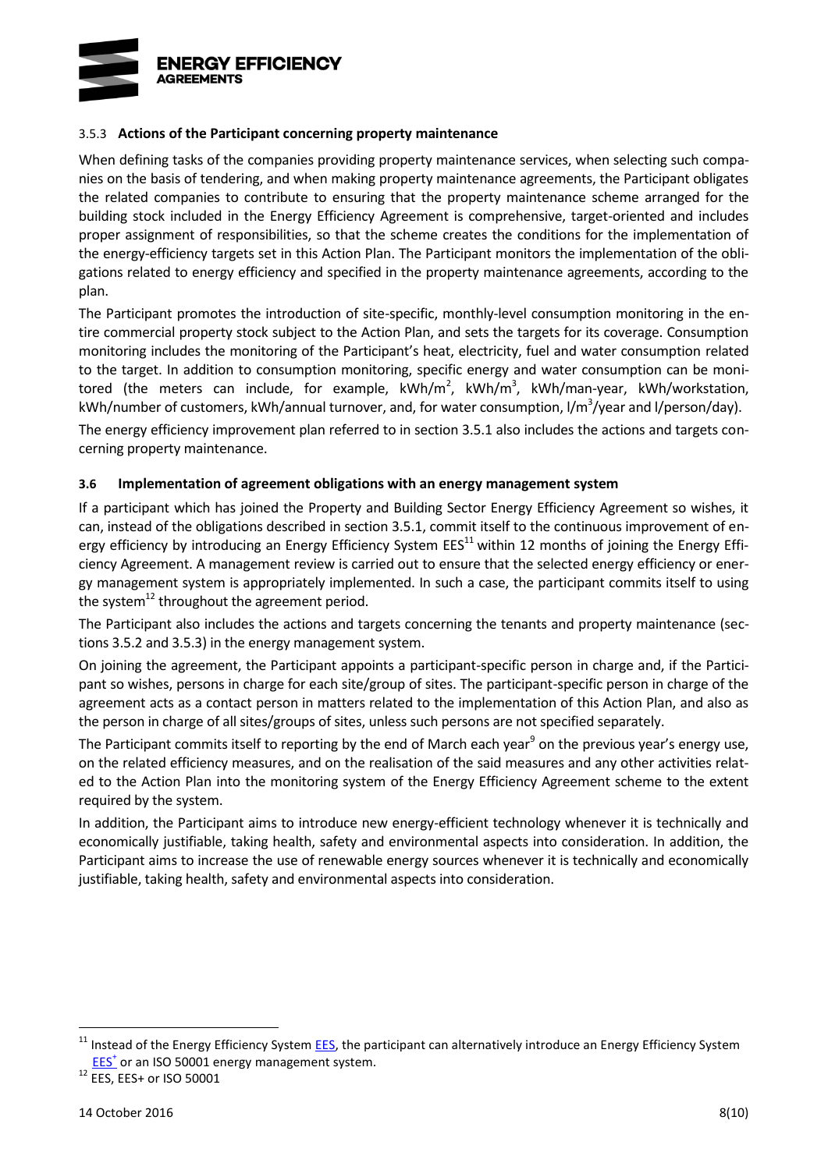

### 3.5.3 **Actions of the Participant concerning property maintenance**

When defining tasks of the companies providing property maintenance services, when selecting such companies on the basis of tendering, and when making property maintenance agreements, the Participant obligates the related companies to contribute to ensuring that the property maintenance scheme arranged for the building stock included in the Energy Efficiency Agreement is comprehensive, target-oriented and includes proper assignment of responsibilities, so that the scheme creates the conditions for the implementation of the energy-efficiency targets set in this Action Plan. The Participant monitors the implementation of the obligations related to energy efficiency and specified in the property maintenance agreements, according to the plan.

The Participant promotes the introduction of site-specific, monthly-level consumption monitoring in the entire commercial property stock subject to the Action Plan, and sets the targets for its coverage. Consumption monitoring includes the monitoring of the Participant's heat, electricity, fuel and water consumption related to the target. In addition to consumption monitoring, specific energy and water consumption can be monitored (the meters can include, for example,  $kWh/m^2$ ,  $kWh/m^3$ ,  $kWh/m$ an-year,  $kWh/workstation$ , kWh/number of customers, kWh/annual turnover, and, for water consumption, I/m<sup>3</sup>/year and I/person/day).

The energy efficiency improvement plan referred to in section 3.5.1 also includes the actions and targets concerning property maintenance.

### **3.6 Implementation of agreement obligations with an energy management system**

If a participant which has joined the Property and Building Sector Energy Efficiency Agreement so wishes, it can, instead of the obligations described in section 3.5.1, commit itself to the continuous improvement of energy efficiency by introducing an Energy Efficiency System EES<sup>11</sup> within 12 months of joining the Energy Efficiency Agreement. A management review is carried out to ensure that the selected energy efficiency or energy management system is appropriately implemented. In such a case, the participant commits itself to using the system<sup>12</sup> throughout the agreement period.

The Participant also includes the actions and targets concerning the tenants and property maintenance (sections 3.5.2 and 3.5.3) in the energy management system.

On joining the agreement, the Participant appoints a participant-specific person in charge and, if the Participant so wishes, persons in charge for each site/group of sites. The participant-specific person in charge of the agreement acts as a contact person in matters related to the implementation of this Action Plan, and also as the person in charge of all sites/groups of sites, unless such persons are not specified separately.

The Pa[r](#page-13-0)ticipant commits itself to reporting by the end of March each year<sup>9</sup> on the previous year's energy use, on the related efficiency measures, and on the realisation of the said measures and any other activities related to the Action Plan into the monitoring system of the Energy Efficiency Agreement scheme to the extent required by the system.

In addition, the Participant aims to introduce new energy-efficient technology whenever it is technically and economically justifiable, taking health, safety and environmental aspects into consideration. In addition, the Participant aims to increase the use of renewable energy sources whenever it is technically and economically justifiable, taking health, safety and environmental aspects into consideration.

 $11$  Instead of the Energy Efficiency System  $EES$ , the participant can alternatively introduce an Energy Efficiency System [EES](http://motiva.fi/toimialueet/energiakatselmustoiminta/pakollinen_suuren_yrityksen_energiakatselmus/energiatehokkuusjarjestelma_etj)<sup>+</sup> or an ISO 50001 energy management system.

<sup>12</sup> EES, EES+ or ISO 50001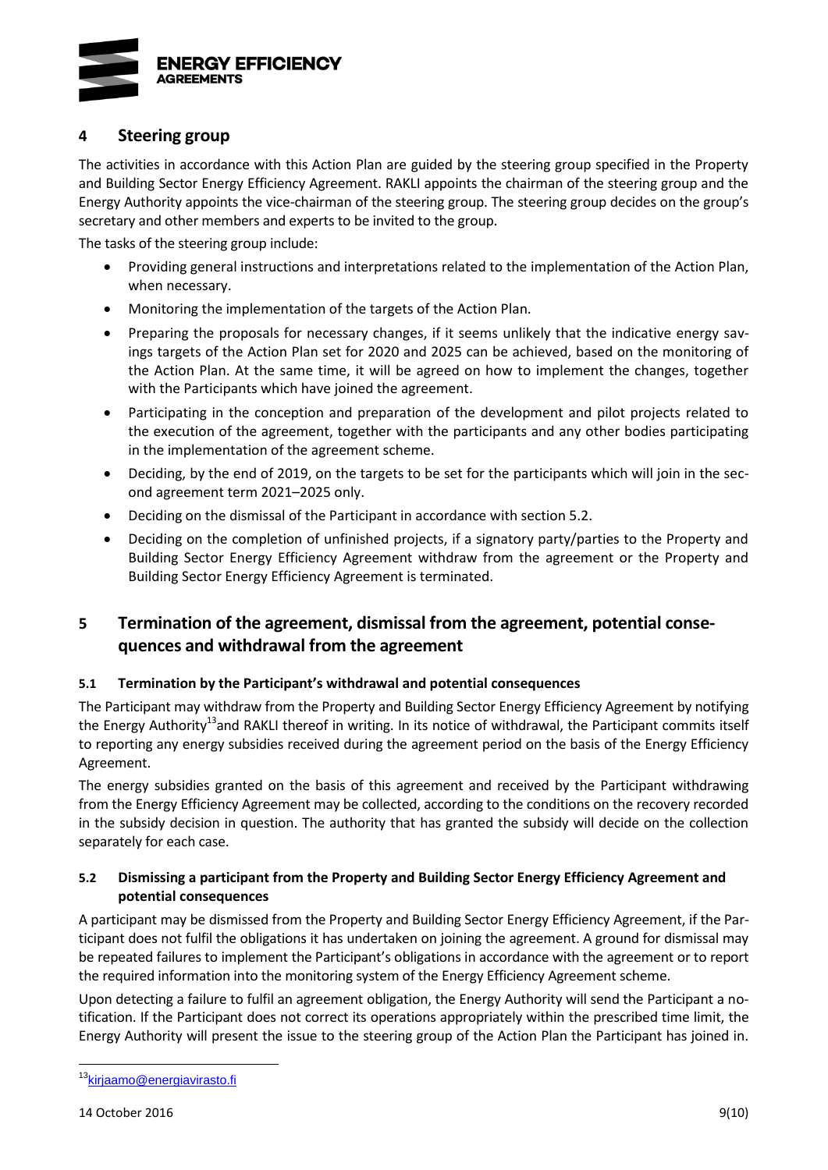

# **4 Steering group**

The activities in accordance with this Action Plan are guided by the steering group specified in the Property and Building Sector Energy Efficiency Agreement. RAKLI appoints the chairman of the steering group and the Energy Authority appoints the vice-chairman of the steering group. The steering group decides on the group's secretary and other members and experts to be invited to the group.

The tasks of the steering group include:

- Providing general instructions and interpretations related to the implementation of the Action Plan, when necessary.
- Monitoring the implementation of the targets of the Action Plan.
- Preparing the proposals for necessary changes, if it seems unlikely that the indicative energy savings targets of the Action Plan set for 2020 and 2025 can be achieved, based on the monitoring of the Action Plan. At the same time, it will be agreed on how to implement the changes, together with the Participants which have joined the agreement.
- Participating in the conception and preparation of the development and pilot projects related to the execution of the agreement, together with the participants and any other bodies participating in the implementation of the agreement scheme.
- Deciding, by the end of 2019, on the targets to be set for the participants which will join in the second agreement term 2021–2025 only.
- Deciding on the dismissal of the Participant in accordance with section 5.2.
- Deciding on the completion of unfinished projects, if a signatory party/parties to the Property and Building Sector Energy Efficiency Agreement withdraw from the agreement or the Property and Building Sector Energy Efficiency Agreement is terminated.

# **5 Termination of the agreement, dismissal from the agreement, potential consequences and withdrawal from the agreement**

### **5.1 Termination by the Participant's withdrawal and potential consequences**

<span id="page-16-0"></span>The Participant may withdraw from the Property and Building Sector Energy Efficiency Agreement by notifying the Energy Authority<sup>13</sup>and RAKLI thereof in writing. In its notice of withdrawal, the Participant commits itself to reporting any energy subsidies received during the agreement period on the basis of the Energy Efficiency Agreement.

The energy subsidies granted on the basis of this agreement and received by the Participant withdrawing from the Energy Efficiency Agreement may be collected, according to the conditions on the recovery recorded in the subsidy decision in question. The authority that has granted the subsidy will decide on the collection separately for each case.

## **5.2 Dismissing a participant from the Property and Building Sector Energy Efficiency Agreement and potential consequences**

A participant may be dismissed from the Property and Building Sector Energy Efficiency Agreement, if the Participant does not fulfil the obligations it has undertaken on joining the agreement. A ground for dismissal may be repeated failures to implement the Participant's obligations in accordance with the agreement or to report the required information into the monitoring system of the Energy Efficiency Agreement scheme.

Upon detecting a failure to fulfil an agreement obligation, the Energy Authority will send the Participant a notification. If the Participant does not correct its operations appropriately within the prescribed time limit, the Energy Authority will present the issue to the steering group of the Action Plan the Participant has joined in.

<sup>&</sup>lt;sup>13</sup>[kirjaamo@energiavirasto.fi](mailto:kirjaamo@energiavirasto.fi)